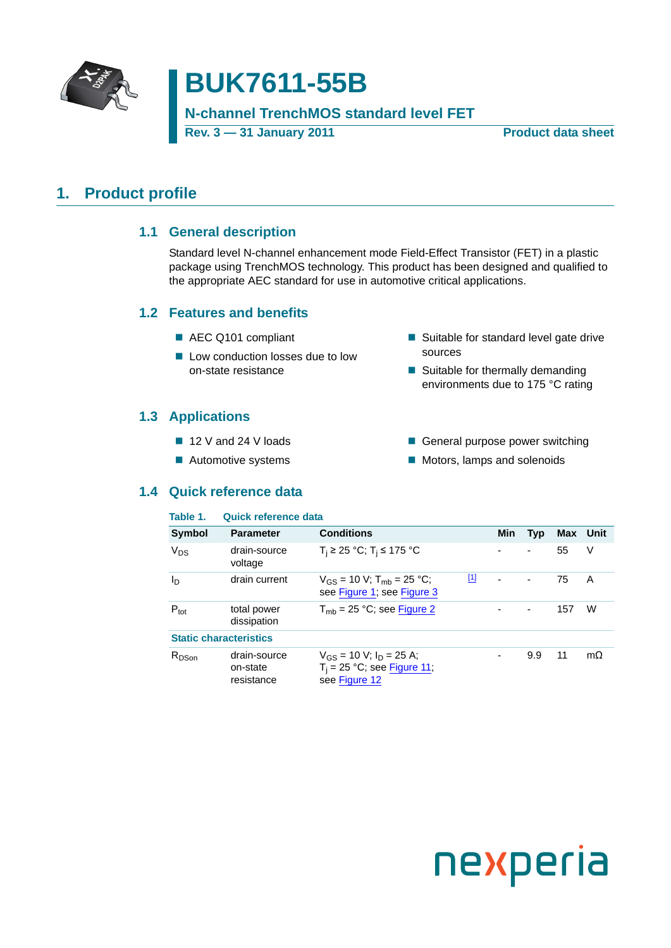

# **BUK7611-55B**

### **N-channel TrenchMOS standard level FET**

**Rev. 3 — 31 January 2011 Product data sheet**

### <span id="page-0-1"></span><span id="page-0-0"></span>**1. Product profile**

### **1.1 General description**

Standard level N-channel enhancement mode Field-Effect Transistor (FET) in a plastic package using TrenchMOS technology. This product has been designed and qualified to the appropriate AEC standard for use in automotive critical applications.

#### <span id="page-0-2"></span>**1.2 Features and benefits**

- AEC Q101 compliant
- Low conduction losses due to low on-state resistance
- Suitable for standard level gate drive sources
- Suitable for thermally demanding environments due to 175 °C rating

### <span id="page-0-3"></span>**1.3 Applications**

- 12 V and 24 V loads
- Automotive systems
- General purpose power switching
- Motors, lamps and solenoids

#### <span id="page-0-4"></span>**1.4 Quick reference data**

| Table 1.         | Quick reference data                   |                                                                                  |            |     |                          |     |           |
|------------------|----------------------------------------|----------------------------------------------------------------------------------|------------|-----|--------------------------|-----|-----------|
| Symbol           | <b>Parameter</b>                       | <b>Conditions</b>                                                                |            | Min | <b>Typ</b>               |     | Max Unit  |
| $V_{DS}$         | drain-source<br>voltage                | $T_i$ ≥ 25 °C; T <sub>i</sub> ≤ 175 °C                                           |            |     | $\overline{\phantom{a}}$ | 55  | V         |
| $I_{\text{D}}$   | drain current                          | $V_{GS}$ = 10 V; T <sub>mb</sub> = 25 °C;<br>see Figure 1; see Figure 3          | <u>[1]</u> |     | $\blacksquare$           | 75  | A         |
| $P_{\text{tot}}$ | total power<br>dissipation             | $T_{\rm mb}$ = 25 °C; see Figure 2                                               |            |     | $\blacksquare$           | 157 | W         |
|                  | <b>Static characteristics</b>          |                                                                                  |            |     |                          |     |           |
| $R_{DSon}$       | drain-source<br>on-state<br>resistance | $V_{GS}$ = 10 V; $I_D$ = 25 A;<br>$T_i = 25$ °C; see Figure 11;<br>see Figure 12 |            |     | 9.9                      | 11  | $m\Omega$ |

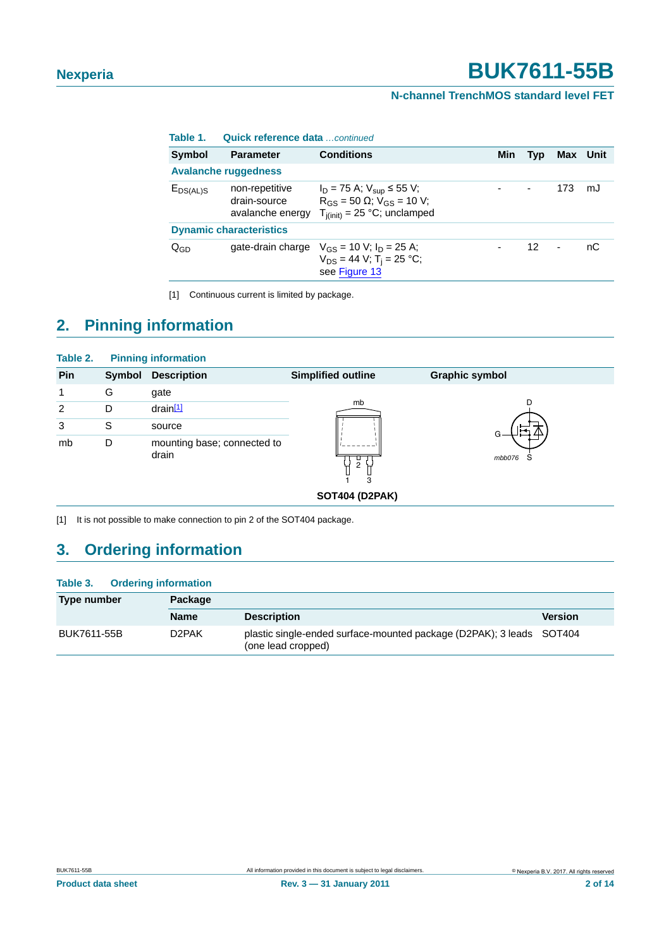#### **N-channel TrenchMOS standard level FET**

| Table 1.                       | Quick reference data  continued                    |                                                                                                                     |     |                |                |      |
|--------------------------------|----------------------------------------------------|---------------------------------------------------------------------------------------------------------------------|-----|----------------|----------------|------|
| Symbol                         | <b>Parameter</b>                                   | <b>Conditions</b>                                                                                                   | Min | <b>Typ</b>     | Max            | Unit |
|                                | <b>Avalanche ruggedness</b>                        |                                                                                                                     |     |                |                |      |
| $E_{DS(AL)S}$                  | non-repetitive<br>drain-source<br>avalanche energy | $I_D = 75$ A; $V_{sup} \le 55$ V;<br>$R_{GS}$ = 50 $\Omega$ ; $V_{GS}$ = 10 V;<br>$T_{j(init)} = 25 °C$ ; unclamped |     | $\blacksquare$ | 173            | mJ   |
| <b>Dynamic characteristics</b> |                                                    |                                                                                                                     |     |                |                |      |
| $Q_{GD}$                       |                                                    | gate-drain charge $V_{CS} = 10$ V; $I_D = 25$ A;<br>$V_{DS} = 44$ V; T <sub>i</sub> = 25 °C;<br>see Figure 13       |     | 12             | $\blacksquare$ | nС   |

<span id="page-1-0"></span>[1] Continuous current is limited by package.

## <span id="page-1-2"></span>**2. Pinning information**

| Table 2. |        | <b>Pinning information</b>           |                           |                       |
|----------|--------|--------------------------------------|---------------------------|-----------------------|
| Pin      | Symbol | <b>Description</b>                   | <b>Simplified outline</b> | <b>Graphic symbol</b> |
| 1        | G      | gate                                 |                           |                       |
| 2        | D      | $drain$ <sup>[1]</sup>               | mb                        | D                     |
| 3        | S      | source                               |                           |                       |
| mb       | D      | mounting base; connected to<br>drain | ┕<br>2<br>3               | mbb076<br>5           |
|          |        |                                      | <b>SOT404 (D2PAK)</b>     |                       |

<span id="page-1-1"></span>[1] It is not possible to make connection to pin 2 of the SOT404 package.

## <span id="page-1-3"></span>**3. Ordering information**

### **Table 3. Ordering information**

| Type number | <b>Package</b>     |                                                                                            |                |
|-------------|--------------------|--------------------------------------------------------------------------------------------|----------------|
|             | <b>Name</b>        | <b>Description</b>                                                                         | <b>Version</b> |
| BUK7611-55B | D <sub>2</sub> PAK | plastic single-ended surface-mounted package (D2PAK); 3 leads SOT404<br>(one lead cropped) |                |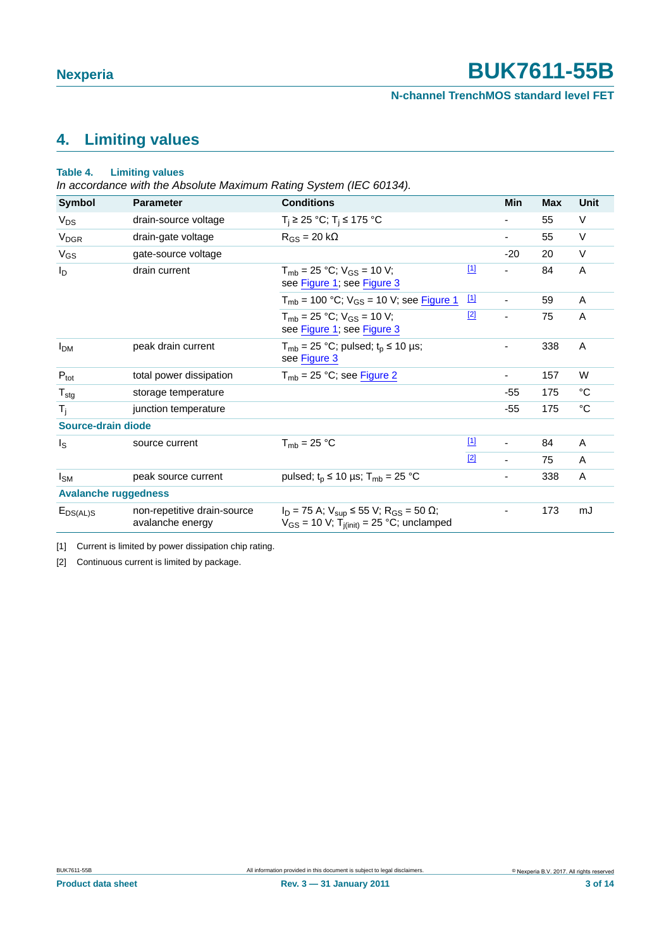**N-channel TrenchMOS standard level FET**

## <span id="page-2-2"></span>**4. Limiting values**

#### **Table 4. Limiting values**

*In accordance with the Absolute Maximum Rating System (IEC 60134).*

| <b>Symbol</b>               | <b>Parameter</b>                                | <b>Conditions</b>                                                                                                             |             | Min                      | <b>Max</b> | Unit        |
|-----------------------------|-------------------------------------------------|-------------------------------------------------------------------------------------------------------------------------------|-------------|--------------------------|------------|-------------|
| $V_{DS}$                    | drain-source voltage                            | $T_i$ ≥ 25 °C; T <sub>i</sub> ≤ 175 °C                                                                                        |             |                          | 55         | V           |
| <b>V<sub>DGR</sub></b>      | drain-gate voltage                              | $R_{GS} = 20 k\Omega$                                                                                                         |             | ۰                        | 55         | V           |
| $V_{GS}$                    | gate-source voltage                             |                                                                                                                               |             | $-20$                    | 20         | $\vee$      |
| $I_D$                       | drain current                                   | $T_{\rm mb}$ = 25 °C; $V_{\rm GS}$ = 10 V;<br>see Figure 1; see Figure 3                                                      | $[1]$       | -                        | 84         | A           |
|                             |                                                 | $T_{mb}$ = 100 °C; $V_{GS}$ = 10 V; see Figure 1                                                                              | $\boxed{1}$ | $\overline{\phantom{a}}$ | 59         | A           |
|                             |                                                 | $T_{\rm mb}$ = 25 °C; $V_{\rm GS}$ = 10 V;<br>see Figure 1; see Figure 3                                                      | $[2]$       | $\blacksquare$           | 75         | A           |
| <b>I<sub>DM</sub></b>       | peak drain current                              | $T_{mb}$ = 25 °C; pulsed; $t_p$ ≤ 10 µs;<br>see Figure 3                                                                      |             | ٠                        | 338        | A           |
| $P_{\text{tot}}$            | total power dissipation                         | $T_{mb}$ = 25 °C; see Figure 2                                                                                                |             | ۰                        | 157        | W           |
| $T_{\text{stg}}$            | storage temperature                             |                                                                                                                               |             | -55                      | 175        | $^{\circ}C$ |
| $T_i$                       | junction temperature                            |                                                                                                                               |             | $-55$                    | 175        | $^{\circ}C$ |
| <b>Source-drain diode</b>   |                                                 |                                                                                                                               |             |                          |            |             |
| $I_{\rm S}$                 | source current                                  | $T_{\rm mb}$ = 25 °C                                                                                                          | $\boxed{1}$ | $\overline{\phantom{a}}$ | 84         | A           |
|                             |                                                 |                                                                                                                               | $[2]$       | $\blacksquare$           | 75         | A           |
| $I_{SM}$                    | peak source current                             | pulsed; $t_p \le 10 \text{ }\mu\text{s}$ ; T <sub>mb</sub> = 25 °C                                                            |             | $\overline{\phantom{a}}$ | 338        | A           |
| <b>Avalanche ruggedness</b> |                                                 |                                                                                                                               |             |                          |            |             |
| $E_{DS(AL)S}$               | non-repetitive drain-source<br>avalanche energy | $I_D = 75$ A; $V_{sup} \le 55$ V; R <sub>GS</sub> = 50 $\Omega$ ;<br>$V_{GS}$ = 10 V; T <sub>j(init)</sub> = 25 °C; unclamped |             | -                        | 173        | mJ          |

<span id="page-2-0"></span>[1] Current is limited by power dissipation chip rating.

<span id="page-2-1"></span>[2] Continuous current is limited by package.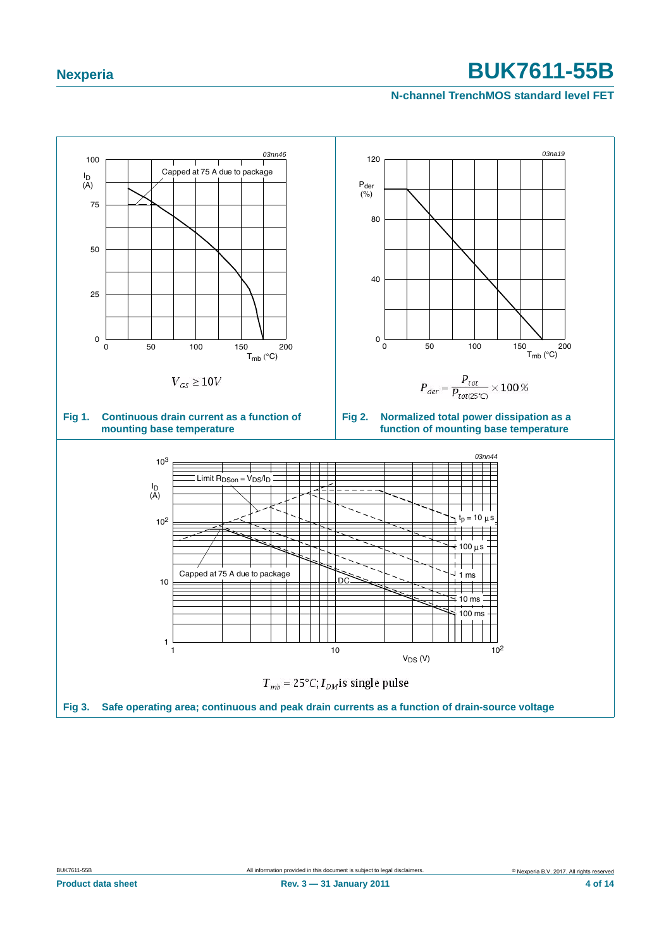<span id="page-3-2"></span><span id="page-3-1"></span><span id="page-3-0"></span>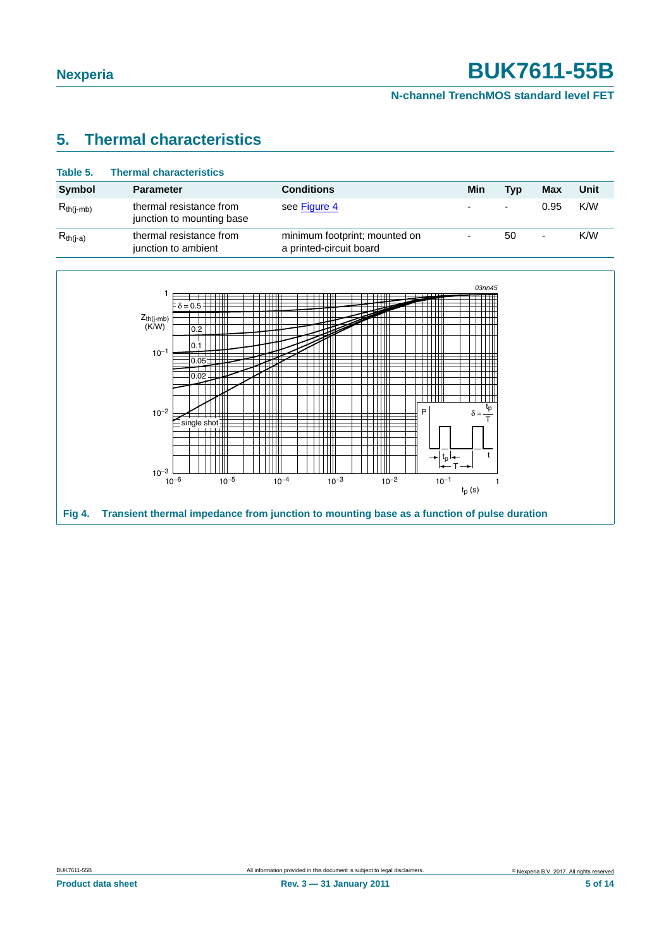**N-channel TrenchMOS standard level FET**

### <span id="page-4-1"></span>**5. Thermal characteristics**

| Table 5.       | <b>Thermal characteristics</b>                       |                                                          |     |     |            |      |
|----------------|------------------------------------------------------|----------------------------------------------------------|-----|-----|------------|------|
| Symbol         | <b>Parameter</b>                                     | <b>Conditions</b>                                        | Min | Tvp | <b>Max</b> | Unit |
| $R_{th(i-mb)}$ | thermal resistance from<br>junction to mounting base | see Figure 4                                             | ٠   | ٠   | 0.95       | K/W  |
| $R_{th(i-a)}$  | thermal resistance from<br>junction to ambient       | minimum footprint; mounted on<br>a printed-circuit board | ۰   | 50  | ۰          | K/W  |

<span id="page-4-0"></span>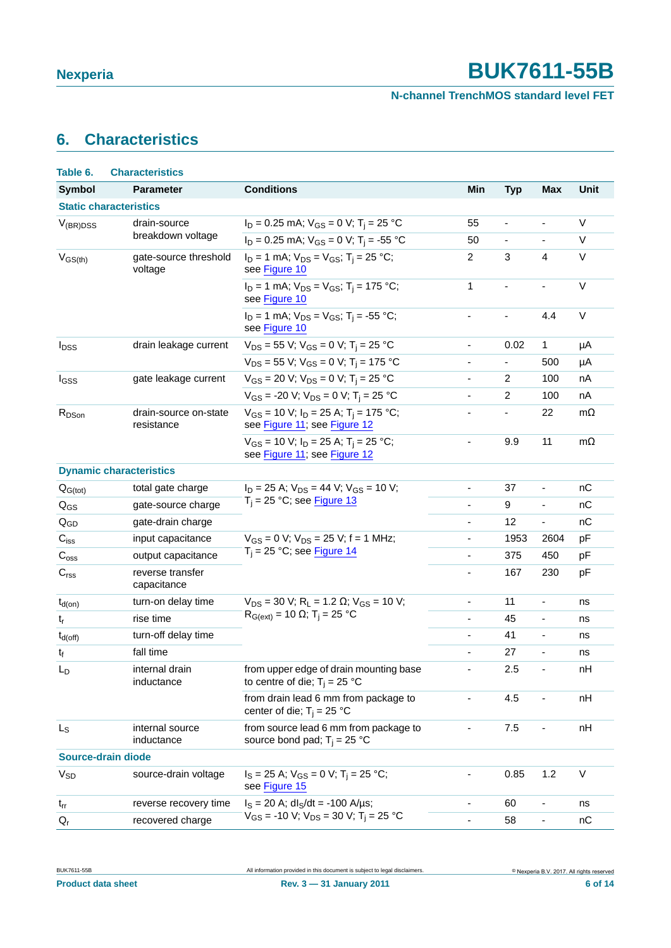**N-channel TrenchMOS standard level FET**

## <span id="page-5-0"></span>**6. Characteristics**

| Table 6.                  | <b>Characteristics</b>              |                                                                                         |                              |                              |                              |             |
|---------------------------|-------------------------------------|-----------------------------------------------------------------------------------------|------------------------------|------------------------------|------------------------------|-------------|
| <b>Symbol</b>             | <b>Parameter</b>                    | <b>Conditions</b>                                                                       | Min                          | <b>Typ</b>                   | <b>Max</b>                   | <b>Unit</b> |
|                           | <b>Static characteristics</b>       |                                                                                         |                              |                              |                              |             |
| $V_{(BR)DSS}$             | drain-source                        | $I_D = 0.25$ mA; $V_{GS} = 0$ V; T <sub>i</sub> = 25 °C                                 | 55                           | $\overline{\phantom{a}}$     | $\qquad \qquad \blacksquare$ | V           |
|                           | breakdown voltage                   | $I_D = 0.25$ mA; $V_{GS} = 0$ V; T <sub>i</sub> = -55 °C                                | 50                           | $\overline{\phantom{a}}$     | $\overline{\phantom{a}}$     | V           |
| $V_{GS(th)}$              | gate-source threshold<br>voltage    | $I_D = 1$ mA; $V_{DS} = V_{GS}$ ; T <sub>i</sub> = 25 °C;<br>see Figure 10              | $\overline{c}$               | 3                            | $\overline{4}$               | V           |
|                           |                                     | $I_D = 1$ mA; $V_{DS} = V_{GS}$ ; T <sub>i</sub> = 175 °C;<br>see Figure 10             | 1                            | $\qquad \qquad \blacksquare$ | $\blacksquare$               | $\vee$      |
|                           |                                     | $I_D = 1$ mA; $V_{DS} = V_{GS}$ ; T <sub>i</sub> = -55 °C;<br>see Figure 10             | $\blacksquare$               | $\blacksquare$               | 4.4                          | V           |
| <b>I</b> <sub>DSS</sub>   | drain leakage current               | $V_{DS}$ = 55 V; V <sub>GS</sub> = 0 V; T <sub>i</sub> = 25 °C                          | $\overline{\phantom{0}}$     | 0.02                         | 1                            | μA          |
|                           |                                     | $V_{DS}$ = 55 V; V <sub>GS</sub> = 0 V; T <sub>i</sub> = 175 °C                         | $\overline{\phantom{0}}$     | $\overline{\phantom{a}}$     | 500                          | μA          |
| I <sub>GSS</sub>          | gate leakage current                | $V_{GS}$ = 20 V; $V_{DS}$ = 0 V; T <sub>i</sub> = 25 °C                                 | $\overline{\phantom{0}}$     | $\overline{2}$               | 100                          | nA          |
|                           |                                     | $V_{GS}$ = -20 V; $V_{DS}$ = 0 V; T <sub>i</sub> = 25 °C                                | $\overline{\phantom{a}}$     | $\overline{c}$               | 100                          | nA          |
| R <sub>DSon</sub>         | drain-source on-state<br>resistance | $V_{GS}$ = 10 V; $I_D$ = 25 A; T <sub>i</sub> = 175 °C;<br>see Figure 11; see Figure 12 | ÷,                           | $\overline{\phantom{a}}$     | 22                           | $m\Omega$   |
|                           |                                     | $V_{GS}$ = 10 V; $I_D$ = 25 A; T <sub>i</sub> = 25 °C;<br>see Figure 11; see Figure 12  | $\overline{\phantom{0}}$     | 9.9                          | 11                           | $m\Omega$   |
|                           | <b>Dynamic characteristics</b>      |                                                                                         |                              |                              |                              |             |
| $Q_{G(tot)}$              | total gate charge                   | $I_D = 25$ A; $V_{DS} = 44$ V; $V_{GS} = 10$ V;                                         | $\overline{\phantom{0}}$     | 37                           | $\qquad \qquad \blacksquare$ | nC          |
| $Q_{GS}$                  | gate-source charge                  | $T_i = 25$ °C; see Figure 13                                                            | ä,                           | 9                            | ÷,                           | nC          |
| $Q_{GD}$                  | gate-drain charge                   |                                                                                         | ÷,                           | 12                           | $\overline{\phantom{a}}$     | nC          |
| $\mathbf{C}_{\text{iss}}$ | input capacitance                   | $V_{GS} = 0$ V; $V_{DS} = 25$ V; f = 1 MHz;                                             | ä,                           | 1953                         | 2604                         | pF          |
| $C_{\rm oss}$             | output capacitance                  | $T_i = 25$ °C; see Figure 14                                                            | ÷,                           | 375                          | 450                          | pF          |
| C <sub>rss</sub>          | reverse transfer<br>capacitance     |                                                                                         | ä,                           | 167                          | 230                          | pF          |
| $t_{d(on)}$               | turn-on delay time                  | $V_{DS}$ = 30 V; R <sub>L</sub> = 1.2 $\Omega$ ; V <sub>GS</sub> = 10 V;                | $\blacksquare$               | 11                           | $\overline{\phantom{a}}$     | ns          |
| $t_r$                     | rise time                           | $R_{G(ext)} = 10$ Ω; T <sub>i</sub> = 25 °C                                             | $\blacksquare$               | 45                           | $\blacksquare$               | ns          |
| $t_{d(off)}$              | turn-off delay time                 |                                                                                         | $\overline{\phantom{a}}$     | 41                           | $\blacksquare$               | ns          |
| $t_f$                     | fall time                           |                                                                                         | $\overline{\phantom{a}}$     | 27                           | $\overline{\phantom{a}}$     | ns          |
| $L_D$                     | internal drain<br>inductance        | from upper edge of drain mounting base<br>to centre of die; $T_i = 25$ °C               | $\qquad \qquad \blacksquare$ | 2.5                          | $\overline{\phantom{a}}$     | nH          |
|                           |                                     | from drain lead 6 mm from package to<br>center of die; $T_i = 25$ °C                    |                              | 4.5                          |                              | nH          |
| $L_{S}$                   | internal source<br>inductance       | from source lead 6 mm from package to<br>source bond pad; $T_i = 25 °C$                 | $\overline{\phantom{0}}$     | 7.5                          | $\overline{\phantom{0}}$     | nH          |
|                           | Source-drain diode                  |                                                                                         |                              |                              |                              |             |
| <b>V<sub>SD</sub></b>     | source-drain voltage                | $I_S = 25$ A; $V_{GS} = 0$ V; T <sub>i</sub> = 25 °C;<br>see Figure 15                  |                              | 0.85                         | 1.2                          | V           |
| $t_{rr}$                  | reverse recovery time               | $I_S = 20$ A; dl <sub>S</sub> /dt = -100 A/µs;                                          |                              | 60                           | $\frac{1}{2}$                | ns          |
| $Q_{r}$                   | recovered charge                    | $V_{GS}$ = -10 V; $V_{DS}$ = 30 V; T <sub>i</sub> = 25 °C                               | $\overline{\phantom{0}}$     | 58                           | $\overline{\phantom{a}}$     | пC          |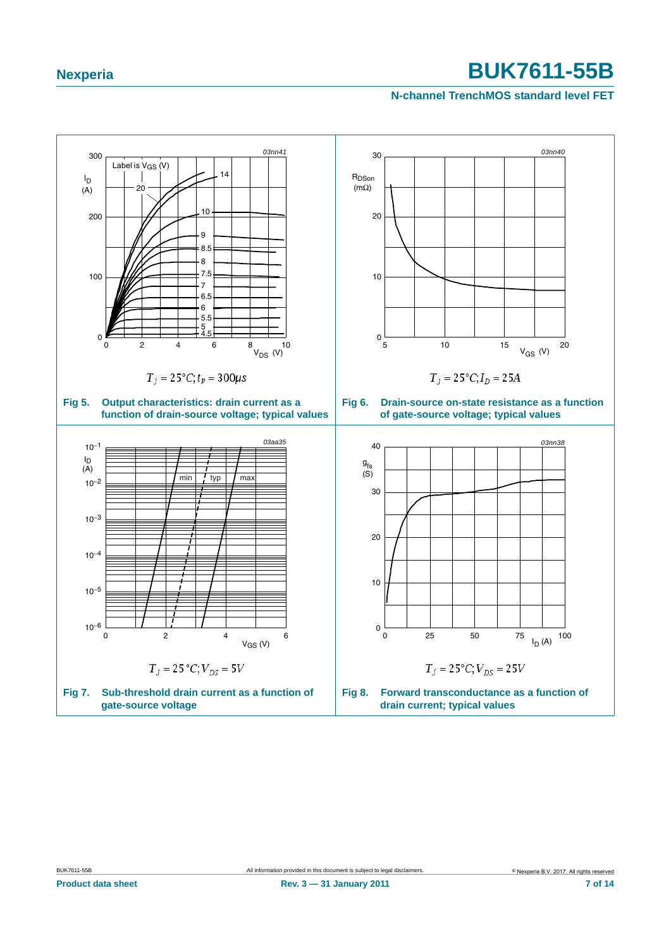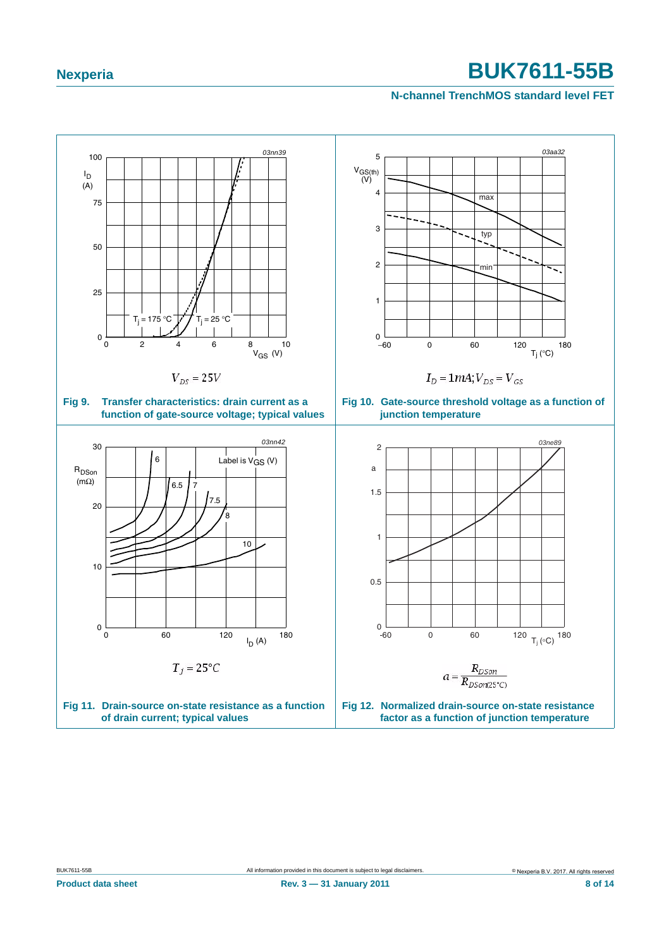<span id="page-7-2"></span><span id="page-7-1"></span><span id="page-7-0"></span>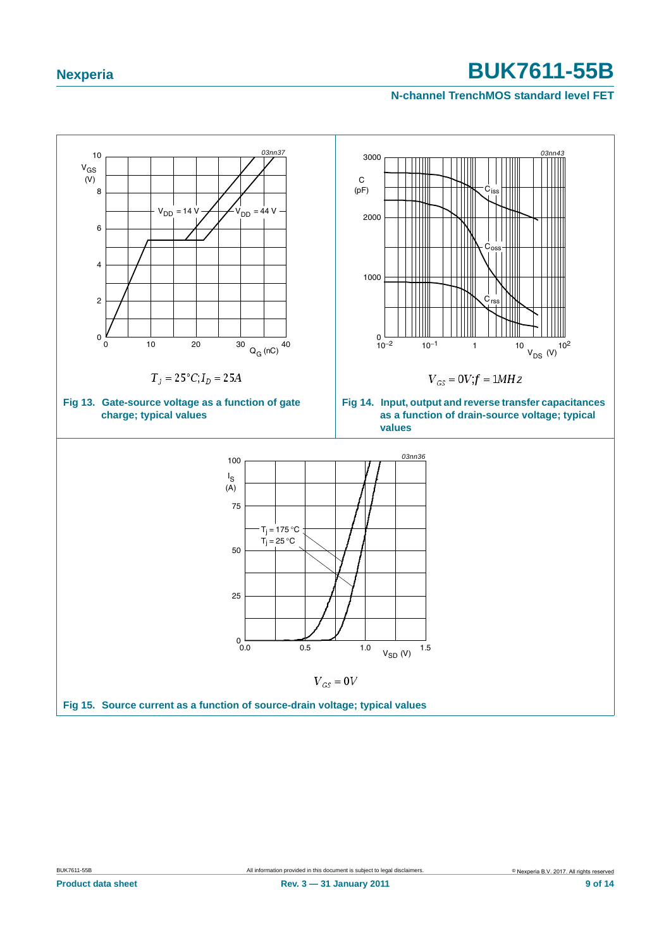<span id="page-8-2"></span><span id="page-8-1"></span><span id="page-8-0"></span>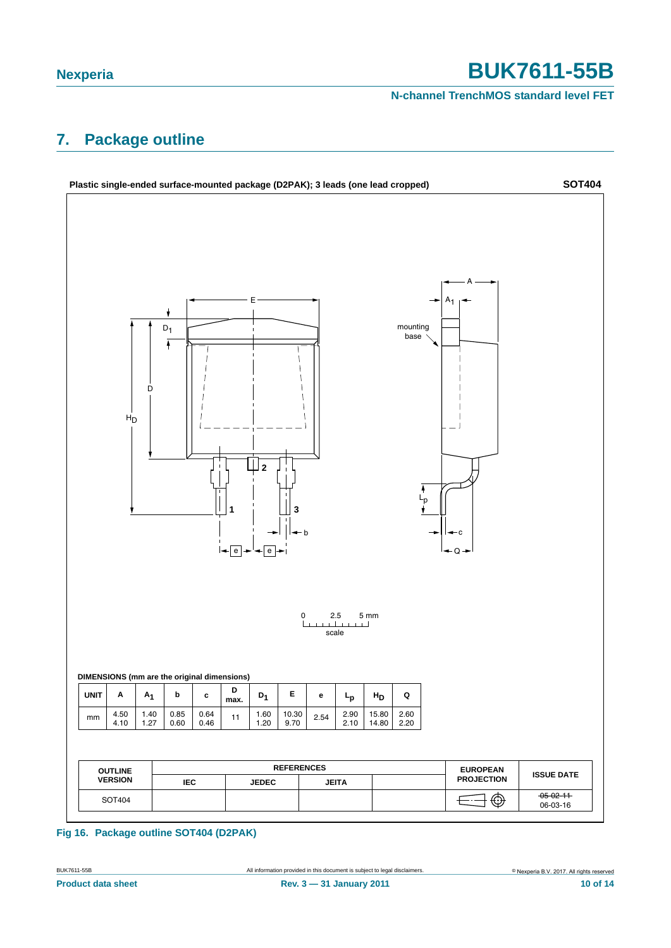**N-channel TrenchMOS standard level FET**

### <span id="page-9-0"></span>**7. Package outline**



**Fig 16. Package outline SOT404 (D2PAK)**

**Product data sheet Rev. 3 — 31 January 2011 10 of 14**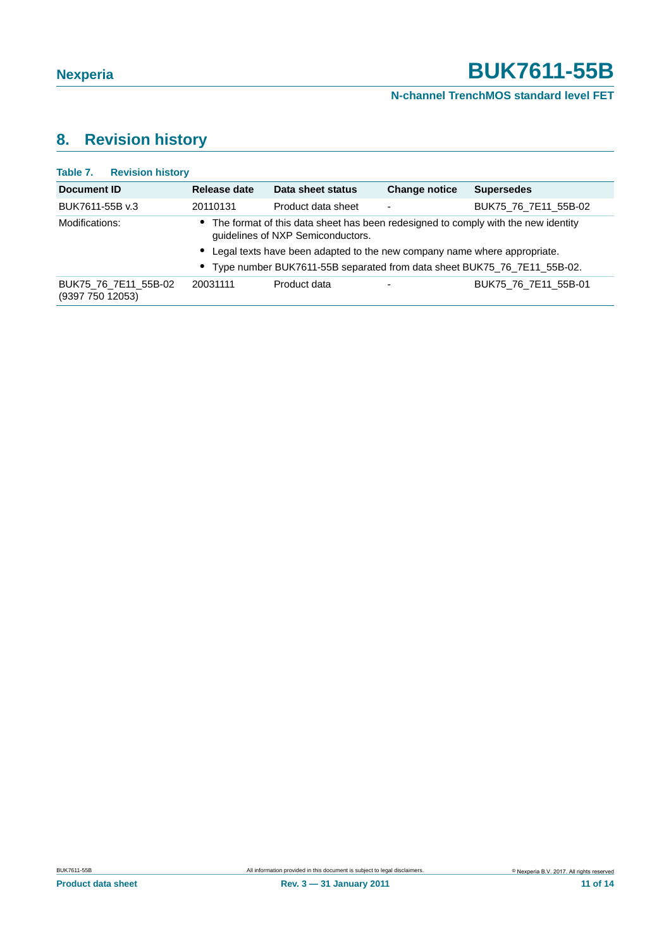#### **N-channel TrenchMOS standard level FET**

# <span id="page-10-0"></span>**8. Revision history**

| Table 7.<br><b>Revision history</b>      |              |                                                                                                                          |                          |                      |
|------------------------------------------|--------------|--------------------------------------------------------------------------------------------------------------------------|--------------------------|----------------------|
| Document ID                              | Release date | Data sheet status                                                                                                        | <b>Change notice</b>     | <b>Supersedes</b>    |
| BUK7611-55B v.3                          | 20110131     | Product data sheet                                                                                                       | $\overline{\phantom{a}}$ | BUK75 76 7E11 55B-02 |
| Modifications:                           |              | • The format of this data sheet has been redesigned to comply with the new identity<br>guidelines of NXP Semiconductors. |                          |                      |
|                                          |              | • Legal texts have been adapted to the new company name where appropriate.                                               |                          |                      |
|                                          |              | • Type number BUK7611-55B separated from data sheet BUK75_76_7E11_55B-02.                                                |                          |                      |
| BUK75_76_7E11_55B-02<br>(9397 750 12053) | 20031111     | Product data                                                                                                             | ٠                        | BUK75 76 7E11 55B-01 |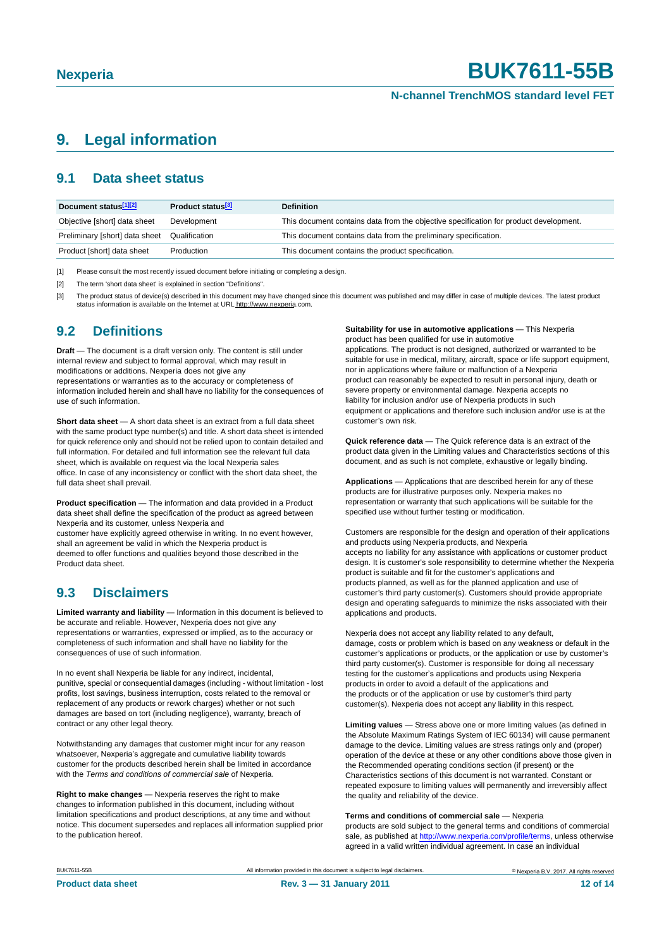#### **N-channel TrenchMOS standard level FET**

### <span id="page-11-3"></span>**9. Legal information**

#### <span id="page-11-4"></span>**9.1 Data sheet status**

| Document status[1][2]          | Product status <sup>[3]</sup> | <b>Definition</b>                                                                     |
|--------------------------------|-------------------------------|---------------------------------------------------------------------------------------|
| Objective [short] data sheet   | Development                   | This document contains data from the objective specification for product development. |
| Preliminary [short] data sheet | Qualification                 | This document contains data from the preliminary specification.                       |
| Product [short] data sheet     | Production                    | This document contains the product specification.                                     |

<span id="page-11-0"></span>[1] Please consult the most recently issued document before initiating or completing a design.

<span id="page-11-1"></span>[2] The term 'short data sheet' is explained in section "Definitions".

<span id="page-11-2"></span>[3] The product status of device(s) described in this document may have changed since this document was published and may differ in case of multiple devices. The latest product<br>status information is available on the Intern

#### <span id="page-11-5"></span>**9.2 Definitions**

**Draft** — The document is a draft version only. The content is still under internal review and subject to formal approval, which may result in modifications or additions. Nexperia does not give any representations or warranties as to the accuracy or completeness of information included herein and shall have no liability for the consequences of use of such information.

**Short data sheet** — A short data sheet is an extract from a full data sheet with the same product type number(s) and title. A short data sheet is intended for quick reference only and should not be relied upon to contain detailed and full information. For detailed and full information see the relevant full data sheet, which is available on request via the local Nexperia sales office. In case of any inconsistency or conflict with the short data sheet, the full data sheet shall prevail.

**Product specification** — The information and data provided in a Product data sheet shall define the specification of the product as agreed between Nexperia and its customer, unless Nexperia and

customer have explicitly agreed otherwise in writing. In no event however, shall an agreement be valid in which the Nexperia product is deemed to offer functions and qualities beyond those described in the Product data sheet.

### <span id="page-11-6"></span>**9.3 Disclaimers**

**Limited warranty and liability** — Information in this document is believed to be accurate and reliable. However, Nexperia does not give any representations or warranties, expressed or implied, as to the accuracy or completeness of such information and shall have no liability for the consequences of use of such information.

In no event shall Nexperia be liable for any indirect, incidental, punitive, special or consequential damages (including - without limitation - lost profits, lost savings, business interruption, costs related to the removal or replacement of any products or rework charges) whether or not such damages are based on tort (including negligence), warranty, breach of contract or any other legal theory.

Notwithstanding any damages that customer might incur for any reason whatsoever, Nexperia's aggregate and cumulative liability towards customer for the products described herein shall be limited in accordance with the *Terms and conditions of commercial sale* of Nexperia.

**Right to make changes** — Nexperia reserves the right to make changes to information published in this document, including without limitation specifications and product descriptions, at any time and without notice. This document supersedes and replaces all information supplied prior to the publication hereof.

**Suitability for use in automotive applications** — This Nexperia product has been qualified for use in automotive

applications. The product is not designed, authorized or warranted to be suitable for use in medical, military, aircraft, space or life support equipment, nor in applications where failure or malfunction of a Nexperia product can reasonably be expected to result in personal injury, death or severe property or environmental damage. Nexperia accepts no liability for inclusion and/or use of Nexperia products in such equipment or applications and therefore such inclusion and/or use is at the customer's own risk.

**Quick reference data** — The Quick reference data is an extract of the product data given in the Limiting values and Characteristics sections of this document, and as such is not complete, exhaustive or legally binding.

**Applications** — Applications that are described herein for any of these products are for illustrative purposes only. Nexperia makes no representation or warranty that such applications will be suitable for the specified use without further testing or modification.

Customers are responsible for the design and operation of their applications and products using Nexperia products, and Nexperia accepts no liability for any assistance with applications or customer product design. It is customer's sole responsibility to determine whether the Nexperia product is suitable and fit for the customer's applications and products planned, as well as for the planned application and use of customer's third party customer(s). Customers should provide appropriate design and operating safeguards to minimize the risks associated with their applications and products.

Nexperia does not accept any liability related to any default, damage, costs or problem which is based on any weakness or default in the customer's applications or products, or the application or use by customer's third party customer(s). Customer is responsible for doing all necessary testing for the customer's applications and products using Nexperia products in order to avoid a default of the applications and the products or of the application or use by customer's third party customer(s). Nexperia does not accept any liability in this respect.

**Limiting values** — Stress above one or more limiting values (as defined in the Absolute Maximum Ratings System of IEC 60134) will cause permanent damage to the device. Limiting values are stress ratings only and (proper) operation of the device at these or any other conditions above those given in the Recommended operating conditions section (if present) or the Characteristics sections of this document is not warranted. Constant or repeated exposure to limiting values will permanently and irreversibly affect the quality and reliability of the device.

#### **Terms and conditions of commercial sale** — Nexperia

products are sold subject to the general terms and conditions of commercial sale, as published at http://www.nexperia.com/profile/terms, unless otherwise agreed in a valid written individual agreement. In case an individual

BUK7611-55B All information provided in this document is subject to legal disclaimers. © Nexperia B.V. 2017. All rights reserved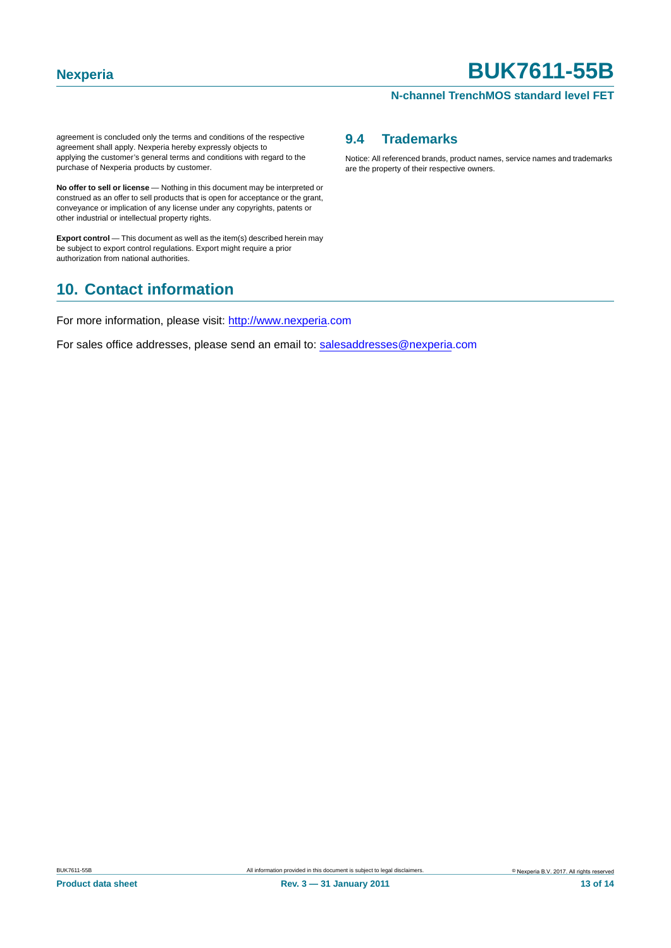#### **N-channel TrenchMOS standard level FET**

agreement is concluded only the terms and conditions of the respective agreement shall apply. Nexperia hereby expressly objects to applying the customer's general terms and conditions with regard to the purchase of Nexperia products by customer.

**No offer to sell or license** — Nothing in this document may be interpreted or construed as an offer to sell products that is open for acceptance or the grant, conveyance or implication of any license under any copyrights, patents or other industrial or intellectual property rights.

**Export control** — This document as well as the item(s) described herein may be subject to export control regulations. Export might require a prior authorization from national authorities.

### <span id="page-12-1"></span>**10. Contact information**

For more information, please visit: http://www.nexperia.com

For sales office addresses, please send an email to: salesaddresses@nexperia.com

#### <span id="page-12-0"></span>**9.4 Trademarks**

Notice: All referenced brands, product names, service names and trademarks are the property of their respective owners.